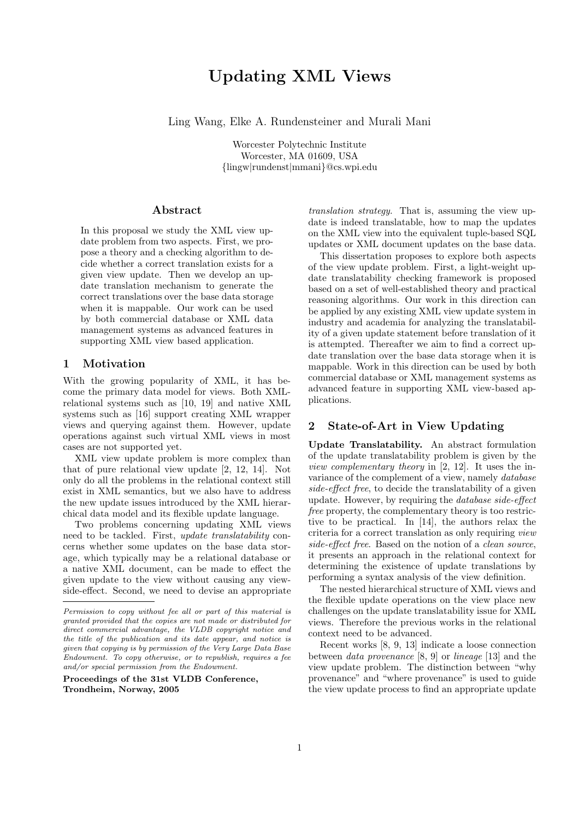# Updating XML Views

Ling Wang, Elke A. Rundensteiner and Murali Mani

Worcester Polytechnic Institute Worcester, MA 01609, USA {lingw|rundenst|mmani}@cs.wpi.edu

## Abstract

In this proposal we study the XML view update problem from two aspects. First, we propose a theory and a checking algorithm to decide whether a correct translation exists for a given view update. Then we develop an update translation mechanism to generate the correct translations over the base data storage when it is mappable. Our work can be used by both commercial database or XML data management systems as advanced features in supporting XML view based application.

## 1 Motivation

With the growing popularity of XML, it has become the primary data model for views. Both XMLrelational systems such as [10, 19] and native XML systems such as [16] support creating XML wrapper views and querying against them. However, update operations against such virtual XML views in most cases are not supported yet.

XML view update problem is more complex than that of pure relational view update [2, 12, 14]. Not only do all the problems in the relational context still exist in XML semantics, but we also have to address the new update issues introduced by the XML hierarchical data model and its flexible update language.

Two problems concerning updating XML views need to be tackled. First, update translatability concerns whether some updates on the base data storage, which typically may be a relational database or a native XML document, can be made to effect the given update to the view without causing any viewside-effect. Second, we need to devise an appropriate

Proceedings of the 31st VLDB Conference, Trondheim, Norway, 2005

translation strategy. That is, assuming the view update is indeed translatable, how to map the updates on the XML view into the equivalent tuple-based SQL updates or XML document updates on the base data.

This dissertation proposes to explore both aspects of the view update problem. First, a light-weight update translatability checking framework is proposed based on a set of well-established theory and practical reasoning algorithms. Our work in this direction can be applied by any existing XML view update system in industry and academia for analyzing the translatability of a given update statement before translation of it is attempted. Thereafter we aim to find a correct update translation over the base data storage when it is mappable. Work in this direction can be used by both commercial database or XML management systems as advanced feature in supporting XML view-based applications.

## 2 State-of-Art in View Updating

Update Translatability. An abstract formulation of the update translatability problem is given by the view complementary theory in [2, 12]. It uses the invariance of the complement of a view, namely database side-effect free, to decide the translatability of a given update. However, by requiring the database side-effect free property, the complementary theory is too restrictive to be practical. In [14], the authors relax the criteria for a correct translation as only requiring *view* side-effect free. Based on the notion of a clean source, it presents an approach in the relational context for determining the existence of update translations by performing a syntax analysis of the view definition.

The nested hierarchical structure of XML views and the flexible update operations on the view place new challenges on the update translatability issue for XML views. Therefore the previous works in the relational context need to be advanced.

Recent works [8, 9, 13] indicate a loose connection between data provenance [8, 9] or lineage [13] and the view update problem. The distinction between "why provenance" and "where provenance" is used to guide the view update process to find an appropriate update

Permission to copy without fee all or part of this material is granted provided that the copies are not made or distributed for direct commercial advantage, the VLDB copyright notice and the title of the publication and its date appear, and notice is given that copying is by permission of the Very Large Data Base Endowment. To copy otherwise, or to republish, requires a fee and/or special permission from the Endowment.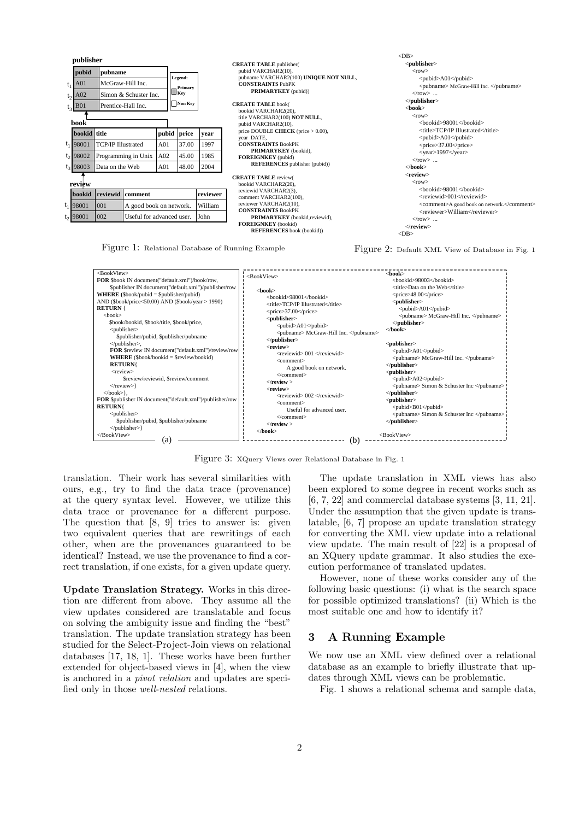| publisher |                                           |                                                                            |                                    |                 |                                              |          | $<$ DB $>$                                                                                                                                                                                                                                                             |                                                                                                                                                                                                                                                                                                                       |  |
|-----------|-------------------------------------------|----------------------------------------------------------------------------|------------------------------------|-----------------|----------------------------------------------|----------|------------------------------------------------------------------------------------------------------------------------------------------------------------------------------------------------------------------------------------------------------------------------|-----------------------------------------------------------------------------------------------------------------------------------------------------------------------------------------------------------------------------------------------------------------------------------------------------------------------|--|
|           | pubid<br>A01<br>A02<br><b>B01</b><br>book | pubname<br>McGraw-Hill Inc.<br>Simon & Schuster Inc.<br>Prentice-Hall Inc. |                                    |                 | Legend:<br>Primary.<br>$\Box$ Key<br>Non Key |          | <b>CREATE TABLE</b> publisher(<br>pubid VARCHAR2(10),<br>pubname VARCHAR2(100) UNIQUE NOT NULL,<br><b>CONSTRAINTS PubPK</b><br><b>PRIMARYKEY</b> (pubid))<br><b>CREATE TABLE book(</b><br>bookid VARCHAR2(20),<br>title VARCHAR2(100) NOT NULL,<br>pubid VARCHAR2(10), | <publisher><br/><math>&lt;</math>row<math>&gt;</math><br/><pubid>A01</pubid><br/><pubname> McGraw-Hill Inc. </pubname><br/><math>\langle</math>row&gt; <br/><math>&lt;</math>/publisher&gt;<br/><math>&lt;</math>book<math>&gt;</math><br/><math>&lt;</math>row<math>&gt;</math><br/><br/>hookid&gt;98001</publisher> |  |
|           | bookid title                              |                                                                            |                                    | pubid           | price                                        | vear     | price DOUBLE CHECK (price $> 0.00$ ),                                                                                                                                                                                                                                  | <title>TCP/IP Illustrated</title><br><pubid>A01</pubid><br><price>37.00</price>                                                                                                                                                                                                                                       |  |
|           | $t_1$ 98001                               | <b>TCP/IP Illustrated</b>                                                  |                                    | A <sub>01</sub> | 37.00                                        | 1997     | vear DATE.<br><b>CONSTRAINTS BookPK</b>                                                                                                                                                                                                                                |                                                                                                                                                                                                                                                                                                                       |  |
|           | $t_2$ 98002                               | Programming in Unix<br>Data on the Web                                     |                                    | A02             | 45.00                                        | 1985     | PRIMARYKEY (bookid),<br><b>FOREIGNKEY</b> (pubid)<br><b>REFERENCES</b> publisher (pubid))                                                                                                                                                                              | <year>1997</year><br>$\langle$ row $\rangle$<br>$<$ /book $>$                                                                                                                                                                                                                                                         |  |
|           | $t_3$ 98003                               |                                                                            |                                    | A01             | 48.00                                        | 2004     |                                                                                                                                                                                                                                                                        |                                                                                                                                                                                                                                                                                                                       |  |
|           | review                                    |                                                                            |                                    |                 |                                              |          | <b>CREATE TABLE review(</b><br>bookid VARCHAR2(20).                                                                                                                                                                                                                    | <review><br/><math>&lt;</math>row<math>&gt;</math><br/><bookid>98001</bookid></review>                                                                                                                                                                                                                                |  |
|           | bookid                                    |                                                                            | reviewid comment                   |                 |                                              | reviewer | reviewid VARCHAR2(3),<br>comment VARCHAR2(100),                                                                                                                                                                                                                        | <reviewid>001</reviewid>                                                                                                                                                                                                                                                                                              |  |
|           | $t_1$ 98001                               | 001                                                                        | William<br>A good book on network. |                 |                                              |          | reviewer VARCHAR2(10),<br><b>CONSTRAINTS BookPK</b>                                                                                                                                                                                                                    | <comment>A good book on network.</comment>                                                                                                                                                                                                                                                                            |  |
|           | $t_2$ 98001                               | 002<br>John<br>Useful for advanced user.                                   |                                    |                 |                                              |          | PRIMARYKEY (bookid, reviewid),<br>FOREIGNKEY (bookid)<br><b>REFERENCES</b> book (bookid))                                                                                                                                                                              | <reviewer>William</reviewer><br>$\langle$ row><br>$\langle$ review $>$<br>$<$ DB $>$                                                                                                                                                                                                                                  |  |

Figure 1: Relational Database of Running Example

Figure 2: Default XML View of Database in Fig. 1



Figure 3: XQuery Views over Relational Database in Fig. 1

translation. Their work has several similarities with ours, e.g., try to find the data trace (provenance) at the query syntax level. However, we utilize this data trace or provenance for a different purpose. The question that [8, 9] tries to answer is: given two equivalent queries that are rewritings of each other, when are the provenances guaranteed to be identical? Instead, we use the provenance to find a correct translation, if one exists, for a given update query.

Update Translation Strategy. Works in this direction are different from above. They assume all the view updates considered are translatable and focus on solving the ambiguity issue and finding the "best" translation. The update translation strategy has been studied for the Select-Project-Join views on relational databases [17, 18, 1]. These works have been further extended for object-based views in [4], when the view is anchored in a pivot relation and updates are specified only in those well-nested relations.

The update translation in XML views has also been explored to some degree in recent works such as [6, 7, 22] and commercial database systems [3, 11, 21]. Under the assumption that the given update is translatable, [6, 7] propose an update translation strategy for converting the XML view update into a relational view update. The main result of [22] is a proposal of an XQuery update grammar. It also studies the execution performance of translated updates.

However, none of these works consider any of the following basic questions: (i) what is the search space for possible optimized translations? (ii) Which is the most suitable one and how to identify it?

## 3 A Running Example

We now use an XML view defined over a relational database as an example to briefly illustrate that updates through XML views can be problematic.

Fig. 1 shows a relational schema and sample data,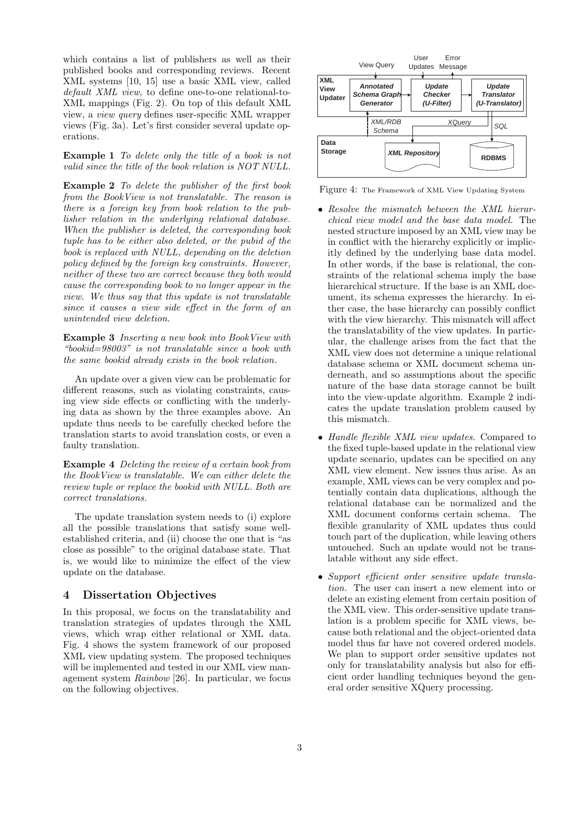which contains a list of publishers as well as their published books and corresponding reviews. Recent XML systems [10, 15] use a basic XML view, called default XML view, to define one-to-one relational-to-XML mappings (Fig. 2). On top of this default XML view, a view query defines user-specific XML wrapper views (Fig. 3a). Let's first consider several update operations.

Example 1 To delete only the title of a book is not valid since the title of the book relation is NOT NULL.

Example 2 To delete the publisher of the first book from the BookView is not translatable. The reason is there is a foreign key from book relation to the publisher relation in the underlying relational database. When the publisher is deleted, the corresponding book tuple has to be either also deleted, or the pubid of the book is replaced with NULL, depending on the deletion policy defined by the foreign key constraints. However, neither of these two are correct because they both would cause the corresponding book to no longer appear in the view. We thus say that this update is not translatable since it causes a view side effect in the form of an unintended view deletion.

Example 3 Inserting a new book into BookView with "bookid=98003" is not translatable since a book with the same bookid already exists in the book relation.

An update over a given view can be problematic for different reasons, such as violating constraints, causing view side effects or conflicting with the underlying data as shown by the three examples above. An update thus needs to be carefully checked before the translation starts to avoid translation costs, or even a faulty translation.

Example 4 Deleting the review of a certain book from the BookView is translatable. We can either delete the review tuple or replace the bookid with NULL. Both are correct translations.

The update translation system needs to (i) explore all the possible translations that satisfy some wellestablished criteria, and (ii) choose the one that is "as close as possible" to the original database state. That is, we would like to minimize the effect of the view update on the database.

## 4 Dissertation Objectives

In this proposal, we focus on the translatability and translation strategies of updates through the XML views, which wrap either relational or XML data. Fig. 4 shows the system framework of our proposed XML view updating system. The proposed techniques will be implemented and tested in our XML view management system Rainbow [26]. In particular, we focus on the following objectives.



Figure 4: The Framework of XML View Updating System

- Resolve the mismatch between the XML hierarchical view model and the base data model. The nested structure imposed by an XML view may be in conflict with the hierarchy explicitly or implicitly defined by the underlying base data model. In other words, if the base is relational, the constraints of the relational schema imply the base hierarchical structure. If the base is an XML document, its schema expresses the hierarchy. In either case, the base hierarchy can possibly conflict with the view hierarchy. This mismatch will affect the translatability of the view updates. In particular, the challenge arises from the fact that the XML view does not determine a unique relational database schema or XML document schema underneath, and so assumptions about the specific nature of the base data storage cannot be built into the view-update algorithm. Example 2 indicates the update translation problem caused by this mismatch.
- Handle flexible XML view updates. Compared to the fixed tuple-based update in the relational view update scenario, updates can be specified on any XML view element. New issues thus arise. As an example, XML views can be very complex and potentially contain data duplications, although the relational database can be normalized and the XML document conforms certain schema. The flexible granularity of XML updates thus could touch part of the duplication, while leaving others untouched. Such an update would not be translatable without any side effect.
- Support efficient order sensitive update translation. The user can insert a new element into or delete an existing element from certain position of the XML view. This order-sensitive update translation is a problem specific for XML views, because both relational and the object-oriented data model thus far have not covered ordered models. We plan to support order sensitive updates not only for translatability analysis but also for efficient order handling techniques beyond the general order sensitive XQuery processing.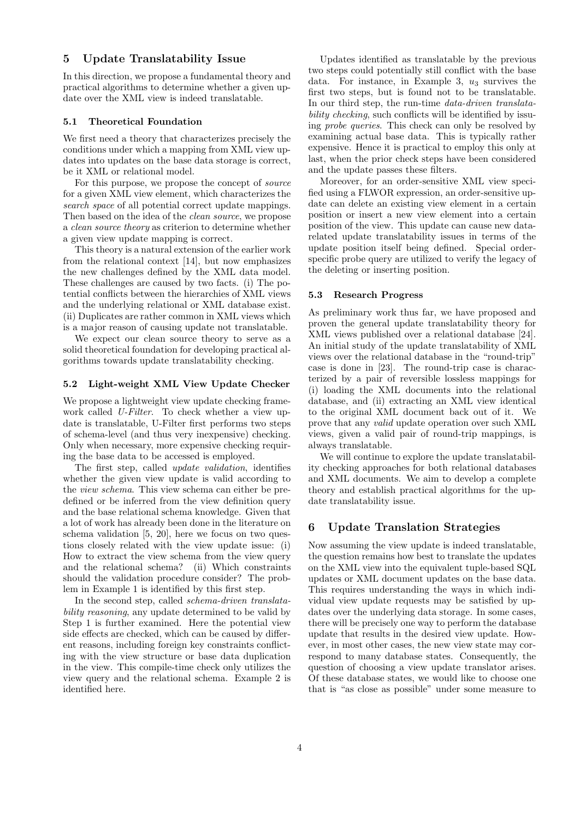## 5 Update Translatability Issue

In this direction, we propose a fundamental theory and practical algorithms to determine whether a given update over the XML view is indeed translatable.

#### 5.1 Theoretical Foundation

We first need a theory that characterizes precisely the conditions under which a mapping from XML view updates into updates on the base data storage is correct, be it XML or relational model.

For this purpose, we propose the concept of source for a given XML view element, which characterizes the search space of all potential correct update mappings. Then based on the idea of the clean source, we propose a clean source theory as criterion to determine whether a given view update mapping is correct.

This theory is a natural extension of the earlier work from the relational context [14], but now emphasizes the new challenges defined by the XML data model. These challenges are caused by two facts. (i) The potential conflicts between the hierarchies of XML views and the underlying relational or XML database exist. (ii) Duplicates are rather common in XML views which is a major reason of causing update not translatable.

We expect our clean source theory to serve as a solid theoretical foundation for developing practical algorithms towards update translatability checking.

### 5.2 Light-weight XML View Update Checker

We propose a lightweight view update checking framework called U-Filter. To check whether a view update is translatable, U-Filter first performs two steps of schema-level (and thus very inexpensive) checking. Only when necessary, more expensive checking requiring the base data to be accessed is employed.

The first step, called update validation, identifies whether the given view update is valid according to the view schema. This view schema can either be predefined or be inferred from the view definition query and the base relational schema knowledge. Given that a lot of work has already been done in the literature on schema validation [5, 20], here we focus on two questions closely related with the view update issue: (i) How to extract the view schema from the view query and the relational schema? (ii) Which constraints should the validation procedure consider? The problem in Example 1 is identified by this first step.

In the second step, called schema-driven translatability reasoning, any update determined to be valid by Step 1 is further examined. Here the potential view side effects are checked, which can be caused by different reasons, including foreign key constraints conflicting with the view structure or base data duplication in the view. This compile-time check only utilizes the view query and the relational schema. Example 2 is identified here.

Updates identified as translatable by the previous two steps could potentially still conflict with the base data. For instance, in Example 3,  $u_3$  survives the first two steps, but is found not to be translatable. In our third step, the run-time *data-driven translata*bility checking, such conflicts will be identified by issuing probe queries. This check can only be resolved by examining actual base data. This is typically rather expensive. Hence it is practical to employ this only at last, when the prior check steps have been considered and the update passes these filters.

Moreover, for an order-sensitive XML view specified using a FLWOR expression, an order-sensitive update can delete an existing view element in a certain position or insert a new view element into a certain position of the view. This update can cause new datarelated update translatability issues in terms of the update position itself being defined. Special orderspecific probe query are utilized to verify the legacy of the deleting or inserting position.

### 5.3 Research Progress

As preliminary work thus far, we have proposed and proven the general update translatability theory for XML views published over a relational database [24]. An initial study of the update translatability of XML views over the relational database in the "round-trip" case is done in [23]. The round-trip case is characterized by a pair of reversible lossless mappings for (i) loading the XML documents into the relational database, and (ii) extracting an XML view identical to the original XML document back out of it. We prove that any valid update operation over such XML views, given a valid pair of round-trip mappings, is always translatable.

We will continue to explore the update translatability checking approaches for both relational databases and XML documents. We aim to develop a complete theory and establish practical algorithms for the update translatability issue.

## 6 Update Translation Strategies

Now assuming the view update is indeed translatable, the question remains how best to translate the updates on the XML view into the equivalent tuple-based SQL updates or XML document updates on the base data. This requires understanding the ways in which individual view update requests may be satisfied by updates over the underlying data storage. In some cases, there will be precisely one way to perform the database update that results in the desired view update. However, in most other cases, the new view state may correspond to many database states. Consequently, the question of choosing a view update translator arises. Of these database states, we would like to choose one that is "as close as possible" under some measure to